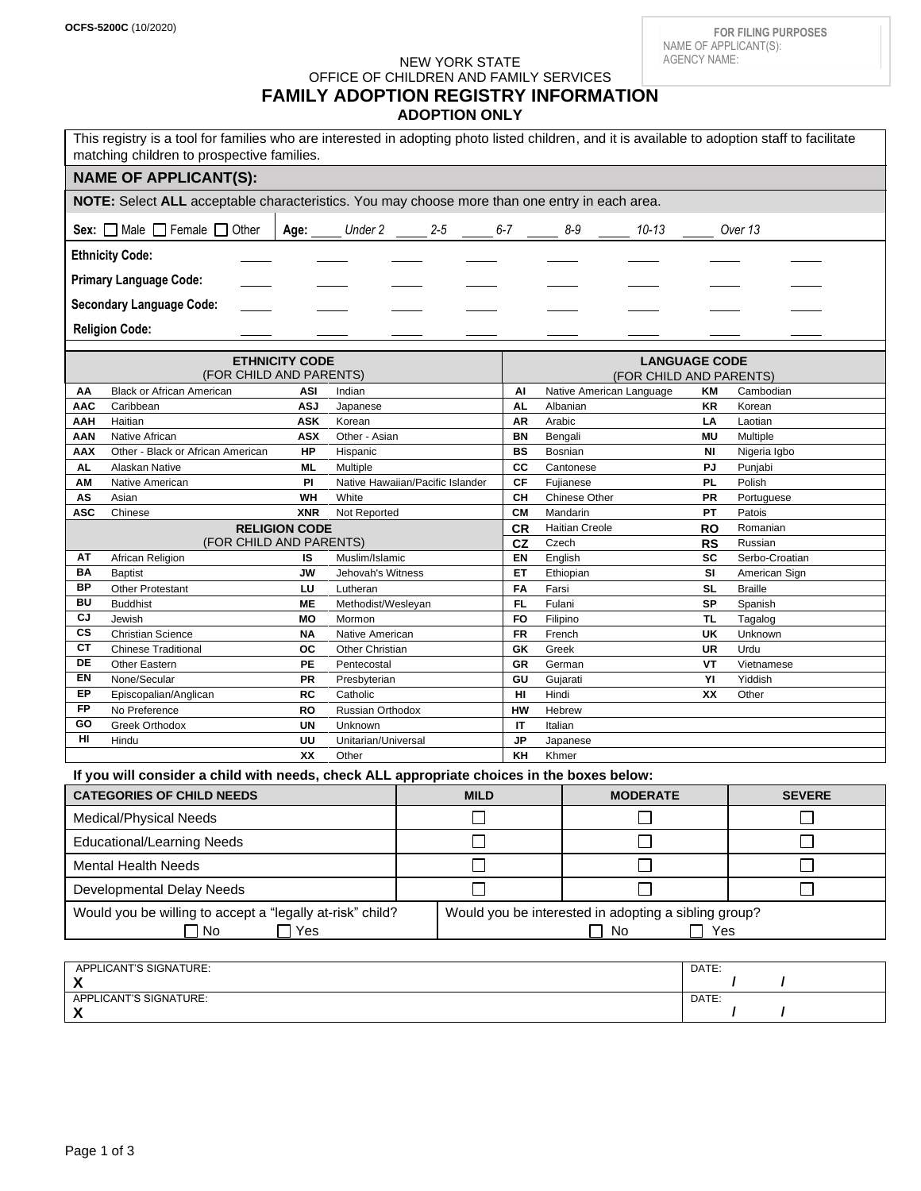# NEW YORK STATE

OFFICE OF CHILDREN AND FAMILY SERVICES

# **FAMILY ADOPTION REGISTRY INFORMATION**

**ADOPTION ONLY**

| This registry is a tool for families who are interested in adopting photo listed children, and it is available to adoption staff to facilitate<br>matching children to prospective families. |                                                     |                        |                                     |  |             |                         |                          |                      |                             |                                 |
|----------------------------------------------------------------------------------------------------------------------------------------------------------------------------------------------|-----------------------------------------------------|------------------------|-------------------------------------|--|-------------|-------------------------|--------------------------|----------------------|-----------------------------|---------------------------------|
| <b>NAME OF APPLICANT(S):</b>                                                                                                                                                                 |                                                     |                        |                                     |  |             |                         |                          |                      |                             |                                 |
| NOTE: Select ALL acceptable characteristics. You may choose more than one entry in each area.                                                                                                |                                                     |                        |                                     |  |             |                         |                          |                      |                             |                                 |
| Sex: $\Box$ Male $\Box$ Female $\Box$ Other<br>Age:<br>Under $2 \underline{\hspace{1cm}} 2-5$                                                                                                |                                                     |                        |                                     |  | $6 - 7$     | $8-9$                   | 10-13                    |                      | Over 13                     |                                 |
| <b>Ethnicity Code:</b>                                                                                                                                                                       |                                                     |                        |                                     |  |             |                         |                          |                      |                             |                                 |
| <b>Primary Language Code:</b>                                                                                                                                                                |                                                     |                        |                                     |  |             |                         |                          |                      |                             |                                 |
| <b>Secondary Language Code:</b>                                                                                                                                                              |                                                     |                        |                                     |  |             |                         |                          |                      |                             |                                 |
| <b>Religion Code:</b>                                                                                                                                                                        |                                                     |                        |                                     |  |             |                         |                          |                      |                             |                                 |
| <b>ETHNICITY CODE</b>                                                                                                                                                                        |                                                     |                        |                                     |  |             |                         |                          | <b>LANGUAGE CODE</b> |                             |                                 |
| (FOR CHILD AND PARENTS)                                                                                                                                                                      |                                                     |                        |                                     |  |             | (FOR CHILD AND PARENTS) |                          |                      |                             |                                 |
| АΑ                                                                                                                                                                                           | <b>Black or African American</b>                    | ASI                    | Indian                              |  |             | Al                      | Native American Language |                      | KM                          | Cambodian                       |
| <b>AAC</b>                                                                                                                                                                                   | Caribbean                                           | <b>ASJ</b>             | Japanese                            |  |             | AL                      | Albanian                 |                      | KR                          | Korean                          |
| AAH                                                                                                                                                                                          | Haitian                                             | <b>ASK</b>             | Korean                              |  |             | ΑR                      | Arabic                   |                      | LA                          | Laotian                         |
| AAN<br>AAX                                                                                                                                                                                   | Native African<br>Other - Black or African American | <b>ASX</b><br>HP       | Other - Asian<br>Hispanic           |  |             | <b>BN</b><br>BS         | Bengali<br>Bosnian       |                      | <b>MU</b><br>NI             | Multiple<br>Nigeria Igbo        |
| AL                                                                                                                                                                                           | Alaskan Native                                      | ML                     | Multiple                            |  |             | СC                      | Cantonese                |                      | PJ                          | Punjabi                         |
| AM                                                                                                                                                                                           | Native American                                     | PI                     | Native Hawaiian/Pacific Islander    |  |             | СF                      | Fujianese                |                      | PL                          | Polish                          |
| AS                                                                                                                                                                                           | Asian                                               | WH                     | White                               |  |             | CH                      | Chinese Other            |                      | <b>PR</b>                   | Portuguese                      |
| <b>ASC</b>                                                                                                                                                                                   | Chinese                                             | <b>XNR</b>             | Not Reported                        |  |             | <b>CM</b>               | Mandarin                 |                      | PT                          | Patois                          |
| <b>RELIGION CODE</b>                                                                                                                                                                         |                                                     |                        |                                     |  |             | <b>CR</b>               | <b>Haitian Creole</b>    |                      | RO                          | Romanian                        |
| (FOR CHILD AND PARENTS)<br>ΑT                                                                                                                                                                |                                                     |                        |                                     |  | CZ          | Czech                   |                          | <b>RS</b>            | Russian                     |                                 |
| BA                                                                                                                                                                                           | African Religion<br><b>Baptist</b>                  | IS<br>JW               | Muslim/Islamic<br>Jehovah's Witness |  |             | EN<br>ET                | English<br>Ethiopian     |                      | SC<br>SI                    | Serbo-Croatian<br>American Sign |
| BP                                                                                                                                                                                           | <b>Other Protestant</b>                             | LU                     | Lutheran                            |  |             | FA                      | Farsi                    |                      | <b>SL</b>                   | <b>Braille</b>                  |
| BU                                                                                                                                                                                           | <b>Buddhist</b>                                     | <b>ME</b>              | Methodist/Wesleyan                  |  |             | FL                      | Fulani                   |                      | SP                          | Spanish                         |
| CJ                                                                                                                                                                                           | Jewish                                              | MO                     | Mormon                              |  |             | <b>FO</b>               | Filipino                 |                      | TL                          | Tagalog                         |
| $\overline{\text{cs}}$                                                                                                                                                                       | <b>Christian Science</b>                            | ΝA                     | Native American                     |  |             | FR                      | French                   |                      | UK                          | Unknown                         |
| СT                                                                                                                                                                                           | <b>Chinese Traditional</b>                          | oc                     | Other Christian                     |  |             | GK                      | Greek                    |                      | UR                          | Urdu                            |
| DE<br>EN                                                                                                                                                                                     | Other Eastern<br>None/Secular                       | <b>PE</b><br><b>PR</b> | Pentecostal<br>Presbyterian         |  |             | GR<br>GU                | German<br>Gujarati       |                      | VT<br>YI                    | Vietnamese<br>Yiddish           |
| EP                                                                                                                                                                                           | Episcopalian/Anglican                               | RC                     | Catholic                            |  |             | HI                      | Hindi                    |                      | XX                          | Other                           |
| <b>FP</b>                                                                                                                                                                                    | No Preference                                       | RO                     | Russian Orthodox                    |  |             | HW                      | Hebrew                   |                      |                             |                                 |
| GO                                                                                                                                                                                           | Greek Orthodox                                      | <b>UN</b>              | Unknown                             |  |             | IT                      | Italian                  |                      |                             |                                 |
| HI                                                                                                                                                                                           | Hindu                                               | UU                     | Unitarian/Universal                 |  |             | <b>JP</b>               | Japanese                 |                      |                             |                                 |
| XX<br>KH<br>Other<br>Khmer                                                                                                                                                                   |                                                     |                        |                                     |  |             |                         |                          |                      |                             |                                 |
| If you will consider a child with needs, check ALL appropriate choices in the boxes below:                                                                                                   |                                                     |                        |                                     |  |             |                         |                          |                      |                             |                                 |
| <b>CATEGORIES OF CHILD NEEDS</b>                                                                                                                                                             |                                                     |                        |                                     |  | <b>MILD</b> |                         | <b>MODERATE</b>          |                      |                             | <b>SEVERE</b>                   |
| Medical/Physical Needs                                                                                                                                                                       |                                                     |                        |                                     |  |             |                         |                          |                      | $\mathcal{L}$               |                                 |
| <b>Educational/Learning Needs</b>                                                                                                                                                            |                                                     |                        |                                     |  |             | П                       |                          |                      | $\mathcal{L}_{\mathcal{A}}$ |                                 |
| <b>Mental Health Needs</b>                                                                                                                                                                   |                                                     |                        |                                     |  |             |                         |                          |                      | $\mathcal{L}$               |                                 |
| Developmental Delay Needs                                                                                                                                                                    |                                                     |                        |                                     |  |             |                         |                          |                      |                             | $\Box$                          |
| Would you be willing to accept a "legally at-risk" child?<br>Would you be interested in adopting a sibling group?<br>$\Box$ No<br>$\Box$ Yes                                                 |                                                     |                        |                                     |  |             |                         |                          | No                   | $\Box$ Yes                  |                                 |
| APPLICANT'S SIGNATURE:                                                                                                                                                                       |                                                     |                        |                                     |  |             |                         |                          |                      | DATE:                       |                                 |
| X<br>APPLICANT'S SIGNATURE:<br>X                                                                                                                                                             |                                                     |                        |                                     |  |             |                         |                          | DATE:                | 7                           |                                 |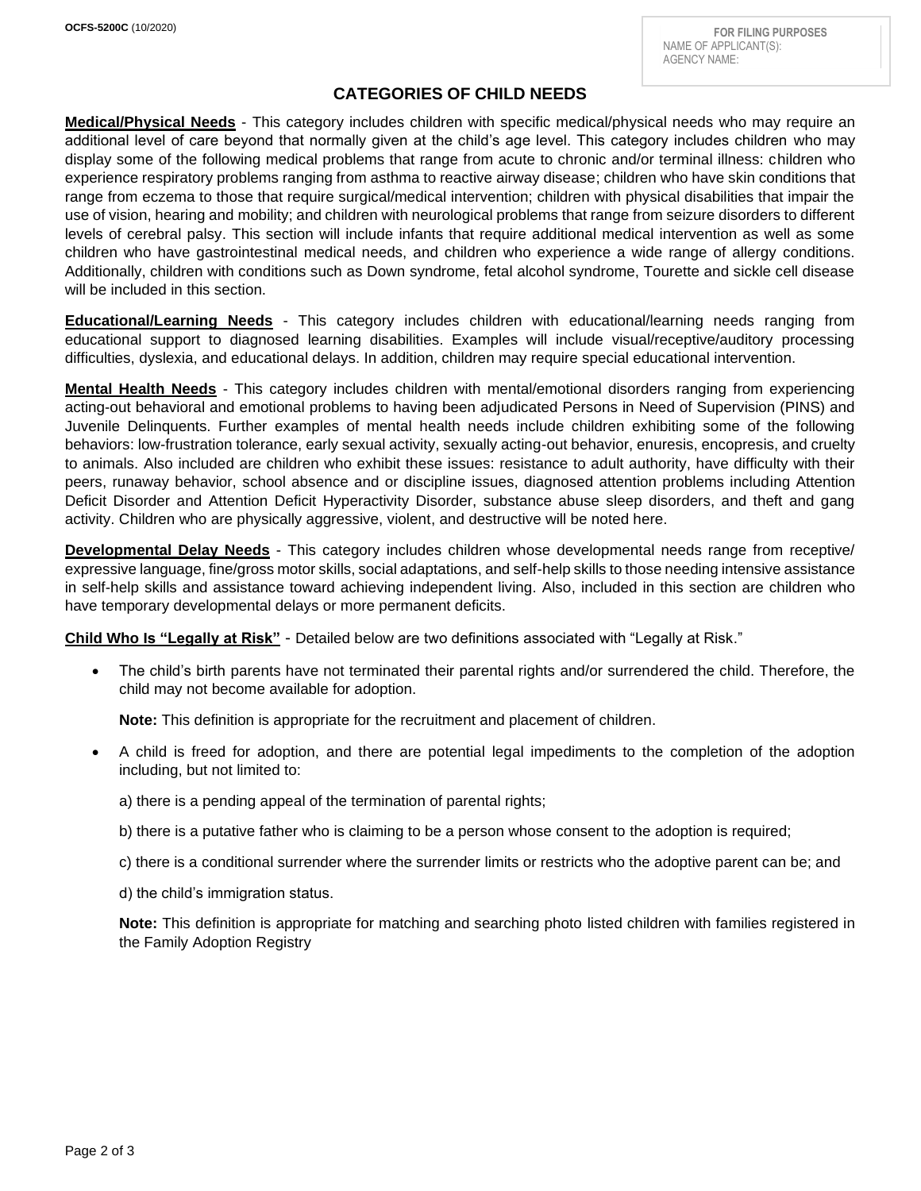## **CATEGORIES OF CHILD NEEDS**

**Medical/Physical Needs** - This category includes children with specific medical/physical needs who may require an additional level of care beyond that normally given at the child's age level. This category includes children who may display some of the following medical problems that range from acute to chronic and/or terminal illness: children who experience respiratory problems ranging from asthma to reactive airway disease; children who have skin conditions that range from eczema to those that require surgical/medical intervention; children with physical disabilities that impair the use of vision, hearing and mobility; and children with neurological problems that range from seizure disorders to different levels of cerebral palsy. This section will include infants that require additional medical intervention as well as some children who have gastrointestinal medical needs, and children who experience a wide range of allergy conditions. Additionally, children with conditions such as Down syndrome, fetal alcohol syndrome, Tourette and sickle cell disease will be included in this section.

**Educational/Learning Needs** - This category includes children with educational/learning needs ranging from educational support to diagnosed learning disabilities. Examples will include visual/receptive/auditory processing difficulties, dyslexia, and educational delays. In addition, children may require special educational intervention.

**Mental Health Needs** - This category includes children with mental/emotional disorders ranging from experiencing acting-out behavioral and emotional problems to having been adjudicated Persons in Need of Supervision (PINS) and Juvenile Delinquents. Further examples of mental health needs include children exhibiting some of the following behaviors: low-frustration tolerance, early sexual activity, sexually acting-out behavior, enuresis, encopresis, and cruelty to animals. Also included are children who exhibit these issues: resistance to adult authority, have difficulty with their peers, runaway behavior, school absence and or discipline issues, diagnosed attention problems including Attention Deficit Disorder and Attention Deficit Hyperactivity Disorder, substance abuse sleep disorders, and theft and gang activity. Children who are physically aggressive, violent, and destructive will be noted here.

**Developmental Delay Needs** - This category includes children whose developmental needs range from receptive/ expressive language, fine/gross motor skills, social adaptations, and self-help skills to those needing intensive assistance in self-help skills and assistance toward achieving independent living. Also, included in this section are children who have temporary developmental delays or more permanent deficits.

**Child Who Is "Legally at Risk"** - Detailed below are two definitions associated with "Legally at Risk."

• The child's birth parents have not terminated their parental rights and/or surrendered the child. Therefore, the child may not become available for adoption.

**Note:** This definition is appropriate for the recruitment and placement of children.

• A child is freed for adoption, and there are potential legal impediments to the completion of the adoption including, but not limited to:

a) there is a pending appeal of the termination of parental rights;

b) there is a putative father who is claiming to be a person whose consent to the adoption is required;

c) there is a conditional surrender where the surrender limits or restricts who the adoptive parent can be; and

d) the child's immigration status.

**Note:** This definition is appropriate for matching and searching photo listed children with families registered in the Family Adoption Registry